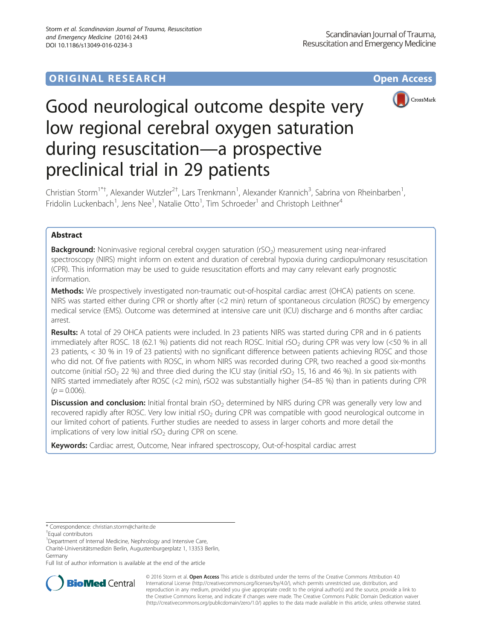## **ORIGINAL RESEARCH CONSUMING ACCESS**



# Good neurological outcome despite very low regional cerebral oxygen saturation during resuscitation—a prospective preclinical trial in 29 patients

Christian Storm<sup>1\*†</sup>, Alexander Wutzler<sup>2†</sup>, Lars Trenkmann<sup>1</sup>, Alexander Krannich<sup>3</sup>, Sabrina von Rheinbarben<sup>1</sup> , Fridolin Luckenbach<sup>1</sup>, Jens Nee<sup>1</sup>, Natalie Otto<sup>1</sup>, Tim Schroeder<sup>1</sup> and Christoph Leithner<sup>4</sup>

## Abstract

**Background:** Noninvasive regional cerebral oxygen saturation (rSO<sub>2</sub>) measurement using near-infrared spectroscopy (NIRS) might inform on extent and duration of cerebral hypoxia during cardiopulmonary resuscitation (CPR). This information may be used to guide resuscitation efforts and may carry relevant early prognostic information.

Methods: We prospectively investigated non-traumatic out-of-hospital cardiac arrest (OHCA) patients on scene. NIRS was started either during CPR or shortly after (<2 min) return of spontaneous circulation (ROSC) by emergency medical service (EMS). Outcome was determined at intensive care unit (ICU) discharge and 6 months after cardiac arrest.

Results: A total of 29 OHCA patients were included. In 23 patients NIRS was started during CPR and in 6 patients immediately after ROSC. 18 (62.1 %) patients did not reach ROSC. Initial rSO<sub>2</sub> during CPR was very low (<50 % in all 23 patients, < 30 % in 19 of 23 patients) with no significant difference between patients achieving ROSC and those who did not. Of five patients with ROSC, in whom NIRS was recorded during CPR, two reached a good six-months outcome (initial rSO<sub>2</sub> 22 %) and three died during the ICU stay (initial rSO<sub>2</sub> 15, 16 and 46 %). In six patients with NIRS started immediately after ROSC (<2 min), rSO2 was substantially higher (54–85 %) than in patients during CPR  $(p = 0.006)$ .

**Discussion and conclusion:** Initial frontal brain rSO<sub>2</sub> determined by NIRS during CPR was generally very low and recovered rapidly after ROSC. Very low initial rSO<sub>2</sub> during CPR was compatible with good neurological outcome in our limited cohort of patients. Further studies are needed to assess in larger cohorts and more detail the implications of very low initial  $rSO<sub>2</sub>$  during CPR on scene.

Keywords: Cardiac arrest, Outcome, Near infrared spectroscopy, Out-of-hospital cardiac arrest

Charité-Universitätsmedizin Berlin, Augustenburgerplatz 1, 13353 Berlin, Germany

Full list of author information is available at the end of the article



© 2016 Storm et al. Open Access This article is distributed under the terms of the Creative Commons Attribution 4.0 International License [\(http://creativecommons.org/licenses/by/4.0/](http://creativecommons.org/licenses/by/4.0/)), which permits unrestricted use, distribution, and reproduction in any medium, provided you give appropriate credit to the original author(s) and the source, provide a link to the Creative Commons license, and indicate if changes were made. The Creative Commons Public Domain Dedication waiver [\(http://creativecommons.org/publicdomain/zero/1.0/](http://creativecommons.org/publicdomain/zero/1.0/)) applies to the data made available in this article, unless otherwise stated.

<sup>\*</sup> Correspondence: [christian.storm@charite.de](mailto:christian.storm@charite.de) †

Equal contributors

<sup>&</sup>lt;sup>1</sup>Department of Internal Medicine, Nephrology and Intensive Care,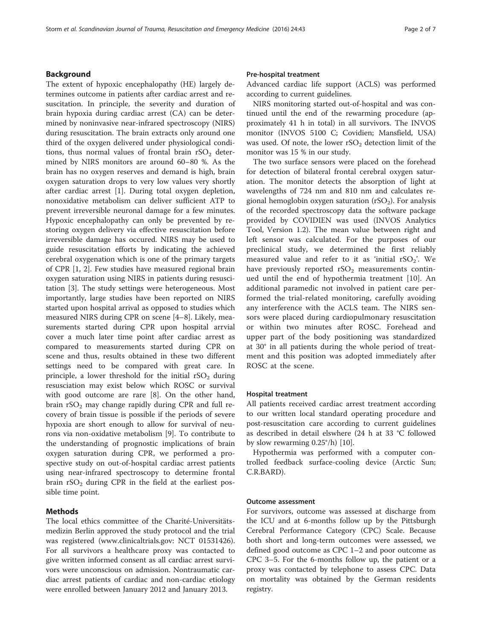#### Background

The extent of hypoxic encephalopathy (HE) largely determines outcome in patients after cardiac arrest and resuscitation. In principle, the severity and duration of brain hypoxia during cardiac arrest (CA) can be determined by noninvasive near-infrared spectroscopy (NIRS) during resuscitation. The brain extracts only around one third of the oxygen delivered under physiological conditions, thus normal values of frontal brain  $rSO<sub>2</sub>$  determined by NIRS monitors are around 60–80 %. As the brain has no oxygen reserves and demand is high, brain oxygen saturation drops to very low values very shortly after cardiac arrest [[1\]](#page-6-0). During total oxygen depletion, nonoxidative metabolism can deliver sufficient ATP to prevent irreversible neuronal damage for a few minutes. Hypoxic encephalopathy can only be prevented by restoring oxygen delivery via effective resuscitation before irreversible damage has occured. NIRS may be used to guide resuscitation efforts by indicating the achieved cerebral oxygenation which is one of the primary targets of CPR [[1, 2](#page-6-0)]. Few studies have measured regional brain oxygen saturation using NIRS in patients during resuscitation [\[3](#page-6-0)]. The study settings were heterogeneous. Most importantly, large studies have been reported on NIRS started upon hospital arrival as opposed to studies which measured NIRS during CPR on scene [[4](#page-6-0)–[8](#page-6-0)]. Likely, measurements started during CPR upon hospital arrvial cover a much later time point after cardiac arrest as compared to measurements started during CPR on scene and thus, results obtained in these two different settings need to be compared with great care. In principle, a lower threshold for the initial  $rSO<sub>2</sub>$  during resusciation may exist below which ROSC or survival with good outcome are rare [[8\]](#page-6-0). On the other hand, brain  $rSO<sub>2</sub>$  may change rapidly during CPR and full recovery of brain tissue is possible if the periods of severe hypoxia are short enough to allow for survival of neurons via non-oxidative metabolism [\[9](#page-6-0)]. To contribute to the understanding of prognostic implications of brain oxygen saturation during CPR, we performed a prospective study on out-of-hospital cardiac arrest patients using near-infrared spectroscopy to determine frontal brain  $rSO<sub>2</sub>$  during CPR in the field at the earliest possible time point.

#### Methods

The local ethics committee of the Charité-Universitätsmedizin Berlin approved the study protocol and the trial was registered ([www.clinicaltrials.gov](http://www.clinicaltrials.gov): NCT 01531426). For all survivors a healthcare proxy was contacted to give written informed consent as all cardiac arrest survivors were unconscious on admission. Nontraumatic cardiac arrest patients of cardiac and non-cardiac etiology were enrolled between January 2012 and January 2013.

#### Pre-hospital treatment

Advanced cardiac life support (ACLS) was performed according to current guidelines.

NIRS monitoring started out-of-hospital and was continued until the end of the rewarming procedure (approximately 41 h in total) in all survivors. The INVOS monitor (INVOS 5100 C; Covidien; Mansfield, USA) was used. Of note, the lower  $rSO<sub>2</sub>$  detection limit of the monitor was 15 % in our study.

The two surface sensors were placed on the forehead for detection of bilateral frontal cerebral oxygen saturation. The monitor detects the absorption of light at wavelengths of 724 nm and 810 nm and calculates regional hemoglobin oxygen saturation  $(rSO<sub>2</sub>)$ . For analysis of the recorded spectroscopy data the software package provided by COVIDIEN was used (INVOS Analytics Tool, Version 1.2). The mean value between right and left sensor was calculated. For the purposes of our preclinical study, we determined the first reliably measured value and refer to it as 'initial  $rSO_2$ '. We have previously reported  $rSO<sub>2</sub>$  measurements continued until the end of hypothermia treatment [[10\]](#page-6-0). An additional paramedic not involved in patient care performed the trial-related monitoring, carefully avoiding any interference with the ACLS team. The NIRS sensors were placed during cardiopulmonary resuscitation or within two minutes after ROSC. Forehead and upper part of the body positioning was standardized at 30° in all patients during the whole period of treatment and this position was adopted immediately after ROSC at the scene.

#### Hospital treatment

All patients received cardiac arrest treatment according to our written local standard operating procedure and post-resuscitation care according to current guidelines as described in detail elswhere (24 h at 33 °C followed by slow rewarming 0.25°/h) [\[10\]](#page-6-0).

Hypothermia was performed with a computer controlled feedback surface-cooling device (Arctic Sun; C.R.BARD).

#### Outcome assessment

For survivors, outcome was assessed at discharge from the ICU and at 6-months follow up by the Pittsburgh Cerebral Performance Category (CPC) Scale. Because both short and long-term outcomes were assessed, we defined good outcome as CPC 1–2 and poor outcome as CPC 3–5. For the 6-months follow up, the patient or a proxy was contacted by telephone to assess CPC. Data on mortality was obtained by the German residents registry.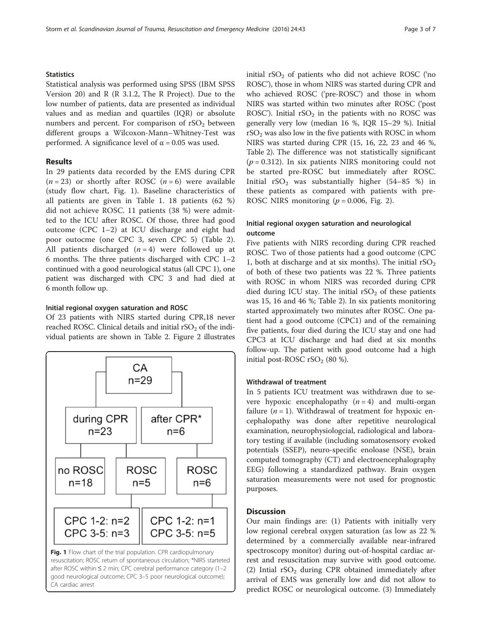#### **Statistics**

Statistical analysis was performed using SPSS (IBM SPSS Version 20) and R (R 3.1.2, The R Project). Due to the low number of patients, data are presented as individual values and as median and quartiles (IQR) or absolute numbers and percent. For comparison of  $rSO<sub>2</sub>$  between different groups a Wilcoxon-Mann–Whitney-Test was performed. A significance level of  $\alpha$  = 0.05 was used.

#### Results

In 29 patients data recorded by the EMS during CPR  $(n = 23)$  or shortly after ROSC  $(n = 6)$  were available (study flow chart, Fig. 1). Baseline characteristics of all patients are given in Table [1](#page-3-0). 18 patients (62 %) did not achieve ROSC. 11 patients (38 %) were admitted to the ICU after ROSC. Of those, three had good outcome (CPC 1–2) at ICU discharge and eight had poor outocme (one CPC 3, seven CPC 5) (Table [2](#page-4-0)). All patients discharged  $(n = 4)$  were followed up at 6 months. The three patients discharged with CPC 1–2 continued with a good neurological status (all CPC 1), one patient was discharged with CPC 3 and had died at 6 month follow up.

#### Initial regional oxygen saturation and ROSC

Of 23 patients with NIRS started during CPR,18 never reached ROSC. Clinical details and initial  $rSO<sub>2</sub>$  of the individual patients are shown in Table [2](#page-4-0). Figure [2](#page-5-0) illustrates



initial  $rSO<sub>2</sub>$  of patients who did not achieve ROSC ('no ROSC'), those in whom NIRS was started during CPR and who achieved ROSC ('pre-ROSC') and those in whom NIRS was started within two minutes after ROSC ('post ROSC'). Initial  $rSO<sub>2</sub>$  in the patients with no ROSC was generally very low (median 16 %, IQR 15–29 %). Initial  $rSO<sub>2</sub>$  was also low in the five patients with ROSC in whom NIRS was started during CPR (15, 16, 22, 23 and 46 %, Table [2](#page-4-0)). The difference was not statistically significant  $(p = 0.312)$ . In six patients NIRS monitoring could not be started pre-ROSC but immediately after ROSC. Initial  $rSO_2$  was substantially higher (54–85 %) in these patients as compared with patients with pre-ROSC NIRS monitoring  $(p = 0.006,$  Fig. [2\)](#page-5-0).

### Initial regional oxygen saturation and neurological outcome

Five patients with NIRS recording during CPR reached ROSC. Two of those patients had a good outcome (CPC 1, both at discharge and at six months). The initial  $rSO<sub>2</sub>$ of both of these two patients was 22 %. Three patients with ROSC in whom NIRS was recorded during CPR died during ICU stay. The initial  $rSO<sub>2</sub>$  of these patients was 15, 16 and 46 %; Table [2](#page-4-0)). In six patients monitoring started approximately two minutes after ROSC. One patient had a good outcome (CPC1) and of the remaining five patients, four died during the ICU stay and one had CPC3 at ICU discharge and had died at six months follow-up. The patient with good outcome had a high initial post-ROSC  $rSO<sub>2</sub>$  (80 %).

#### Withdrawal of treatment

In 5 patients ICU treatment was withdrawn due to severe hypoxic encephalopathy  $(n = 4)$  and multi-organ failure  $(n = 1)$ . Withdrawal of treatment for hypoxic encephalopathy was done after repetitive neurological examination, neurophysiologcial, radiological and laboratory testing if available (including somatosensory evoked potentials (SSEP), neuro-specific enoloase (NSE), brain computed tomography (CT) and electroencephalography EEG) following a standardized pathway. Brain oxygen saturation measurements were not used for prognostic purposes.

#### **Discussion**

Our main findings are: (1) Patients with initially very low regional cerebral oxygen saturation (as low as 22 % determined by a commercially available near-infrared spectroscopy monitor) during out-of-hospital cardiac arrest and resuscitation may survive with good outcome. (2) Intial  $rSO<sub>2</sub>$  during CPR obtained immediately after arrival of EMS was generally low and did not allow to predict ROSC or neurological outcome. (3) Immediately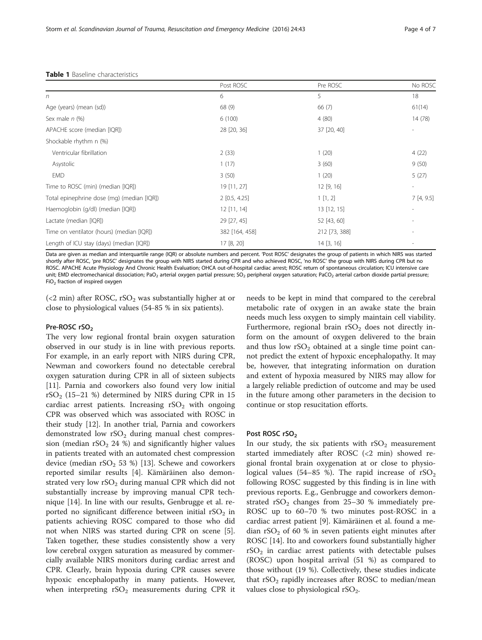<span id="page-3-0"></span>

|  |  | <b>Table 1</b> Baseline characteristics |
|--|--|-----------------------------------------|
|--|--|-----------------------------------------|

|                                            | Post ROSC       | Pre ROSC      | No ROSC                  |  |  |
|--------------------------------------------|-----------------|---------------|--------------------------|--|--|
| n                                          | 6               | 5             | 18                       |  |  |
| Age (years) (mean (sd))                    | 68 (9)          | 66(7)         | 61(14)                   |  |  |
| Sex male $n$ (%)                           | 6(100)          | 4(80)         | 14 (78)                  |  |  |
| APACHE score (median [IQR])                | 28 [20, 36]     | 37 [20, 40]   |                          |  |  |
| Shockable rhythm n (%)                     |                 |               |                          |  |  |
| Ventricular fibrillation                   | 2(33)           | 1(20)         | 4(22)                    |  |  |
| Asystolic                                  | 1(17)           | 3(60)         | 9(50)                    |  |  |
| <b>EMD</b>                                 | 3(50)           | 1(20)         | 5(27)                    |  |  |
| Time to ROSC (min) (median [IQR])          | 19 [11, 27]     | 12 [9, 16]    | $\overline{\phantom{a}}$ |  |  |
| Total epinephrine dose (mg) (median [IQR]) | $2$ [0.5, 4.25] | 1[1,2]        | 7[4, 9.5]                |  |  |
| Haemoglobin (g/dl) (median [IQR])          | $12$ [11, 14]   | 13 [12, 15]   | ٠                        |  |  |
| Lactate (median [IQR])                     | 29 [27, 45]     | 52 [43, 60]   |                          |  |  |
| Time on ventilator (hours) (median [IQR])  | 382 [164, 458]  | 212 [73, 388] |                          |  |  |
| Length of ICU stay (days) (median [IQR])   | 17 [8, 20]      | 14 [3, 16]    |                          |  |  |

Data are given as median and interquartile range (IQR) or absolute numbers and percent. 'Post ROSC' designates the group of patients in which NIRS was started shortly after ROSC, 'pre ROSC' designates the group with NIRS started during CPR and who achieved ROSC, 'no ROSC' the group with NIRS during CPR but no ROSC. APACHE Acute Physiology And Chronic Health Evaluation; OHCA out-of-hospital cardiac arrest; ROSC return of spontaneous circulation; ICU intensive care unit; EMD electromechanical dissociation; PaO<sub>2</sub> arterial oxygen partial pressure; SO<sub>2</sub> peripheral oxygen saturation; PaCO<sub>2</sub> arterial carbon dioxide partial pressure; FiO<sub>2</sub> fraction of inspired oxygen

(<2 min) after ROSC,  $rSO_2$  was substantially higher at or close to physiological values (54-85 % in six patients).

#### Pre-ROSC rSO<sub>2</sub>

The very low regional frontal brain oxygen saturation observed in our study is in line with previous reports. For example, in an early report with NIRS during CPR, Newman and coworkers found no detectable cerebral oxygen saturation during CPR in all of sixteen subjects [[11\]](#page-6-0). Parnia and coworkers also found very low initial  $rSO<sub>2</sub>$  (15–21 %) determined by NIRS during CPR in 15 cardiac arrest patients. Increasing  $rSO<sub>2</sub>$  with ongoing CPR was observed which was associated with ROSC in their study [\[12\]](#page-6-0). In another trial, Parnia and coworkers demonstrated low  $rSO<sub>2</sub>$  during manual chest compression (median  $rSO<sub>2</sub> 24$  %) and significantly higher values in patients treated with an automated chest compression device (median  $rSO_2$  53 %) [[13\]](#page-6-0). Schewe and coworkers reported similar results [\[4](#page-6-0)]. Kämäräinen also demonstrated very low  $rSO_2$  during manual CPR which did not substantially increase by improving manual CPR technique [\[14](#page-6-0)]. In line with our results, Genbrugge et al. reported no significant difference between initial  $rSO<sub>2</sub>$  in patients achieving ROSC compared to those who did not when NIRS was started during CPR on scene [\[5](#page-6-0)]. Taken together, these studies consistently show a very low cerebral oxygen saturation as measured by commercially available NIRS monitors during cardiac arrest and CPR. Clearly, brain hypoxia during CPR causes severe hypoxic encephalopathy in many patients. However, when interpreting  $rSO<sub>2</sub>$  measurements during CPR it needs to be kept in mind that compared to the cerebral metabolic rate of oxygen in an awake state the brain needs much less oxygen to simply maintain cell viability. Furthermore, regional brain  $rSO<sub>2</sub>$  does not directly inform on the amount of oxygen delivered to the brain and thus low  $rSO<sub>2</sub>$  obtained at a single time point cannot predict the extent of hypoxic encephalopathy. It may be, however, that integrating information on duration and extent of hypoxia measured by NIRS may allow for a largely reliable prediction of outcome and may be used in the future among other parameters in the decision to continue or stop resucitation efforts.

#### Post ROSC rSO<sub>2</sub>

In our study, the six patients with  $rSO<sub>2</sub>$  measurement started immediately after ROSC (<2 min) showed regional frontal brain oxygenation at or close to physiological values (54–85 %). The rapid increase of  $rSO<sub>2</sub>$ following ROSC suggested by this finding is in line with previous reports. E.g., Genbrugge and coworkers demonstrated  $rSO_2$  changes from 25–30 % immediately pre-ROSC up to 60–70 % two minutes post-ROSC in a cardiac arrest patient [\[9](#page-6-0)]. Kämäräinen et al. found a median  $rSO<sub>2</sub>$  of 60 % in seven patients eight minutes after ROSC [\[14](#page-6-0)]. Ito and coworkers found substantially higher  $rSO<sub>2</sub>$  in cardiac arrest patients with detectable pulses (ROSC) upon hospital arrival (51 %) as compared to those without (19 %). Collectively, these studies indicate that  $rSO<sub>2</sub>$  rapidly increases after ROSC to median/mean values close to physiological  $rSO_2$ .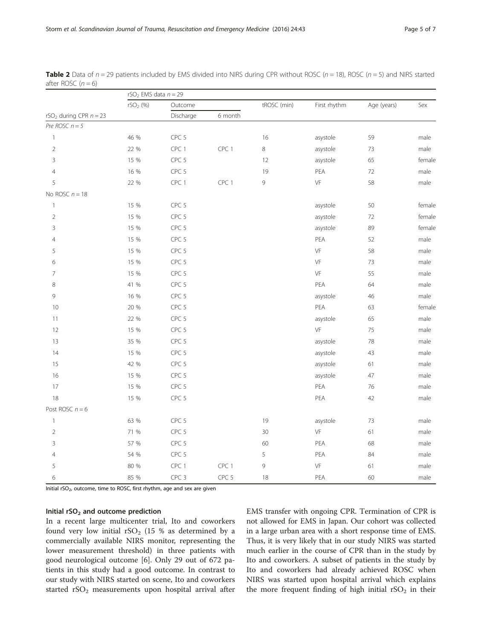|                                      | $rSO2$ EMS data $n = 29$ |                  |         |             |               |             |        |  |
|--------------------------------------|--------------------------|------------------|---------|-------------|---------------|-------------|--------|--|
| rSO <sub>2</sub> during CPR $n = 23$ | $rSO_2$ (%)              | Outcome          |         | tROSC (min) | First rhythm  | Age (years) | Sex    |  |
|                                      |                          | Discharge        | 6 month |             |               |             |        |  |
| Pre $ROSC$ $n = 5$                   |                          |                  |         |             |               |             |        |  |
| $\mathbf{1}$                         | 46 %                     | CPC 5            |         | 16          | asystole      | 59          | male   |  |
| $\overline{2}$                       | 22 %                     | CPC 1            | CPC 1   | $\,8\,$     | asystole      | 73          | male   |  |
| 3                                    | 15 %                     | CPC 5            |         | 12          | asystole      | 65          | female |  |
| $\overline{4}$                       | 16 %                     | CPC 5            |         | 19          | PEA           | 72          | male   |  |
| 5                                    | 22 %                     | CPC 1            | CPC 1   | 9           | VF            | 58          | male   |  |
| No ROSC $n = 18$                     |                          |                  |         |             |               |             |        |  |
| $\mathbf{1}$                         | 15 %                     | CPC 5            |         |             | asystole      | 50          | female |  |
| $\overline{2}$                       | 15 %                     | CPC 5            |         |             | asystole      | 72          | female |  |
| 3                                    | 15 %                     | CPC 5            |         |             | asystole      | 89          | female |  |
| $\overline{4}$                       | 15 %                     | CPC <sub>5</sub> |         |             | PEA           | 52          | male   |  |
| 5                                    | 15 %                     | CPC 5            |         |             | VF            | 58          | male   |  |
| 6                                    | 15 %                     | CPC 5            |         |             | VF            | 73          | male   |  |
| 7                                    | 15 %                     | CPC 5            |         |             | VF            | 55          | male   |  |
| $\,8\,$                              | 41 %                     | CPC 5            |         |             | PEA           | 64          | male   |  |
| 9                                    | 16 %                     | CPC 5            |         |             | asystole      | 46          | male   |  |
| 10                                   | 20 %                     | CPC 5            |         |             | PEA           | 63          | female |  |
| 11                                   | 22 %                     | CPC 5            |         |             | asystole      | 65          | male   |  |
| 12                                   | 15 %                     | CPC 5            |         |             | VF            | 75          | male   |  |
| 13                                   | 35 %                     | CPC 5            |         |             | asystole      | 78          | male   |  |
| 14                                   | 15 %                     | CPC 5            |         |             | asystole      | 43          | male   |  |
| 15                                   | 42 %                     | CPC 5            |         |             | asystole      | 61          | male   |  |
| 16                                   | 15 %                     | CPC 5            |         |             | asystole      | 47          | male   |  |
| 17                                   | 15 %                     | CPC <sub>5</sub> |         |             | PEA           | 76          | male   |  |
| 18                                   | 15 %                     | CPC <sub>5</sub> |         |             | PEA           | 42          | male   |  |
| Post ROSC $n = 6$                    |                          |                  |         |             |               |             |        |  |
| $\mathbf{1}$                         | 63 %                     | CPC 5            |         | 19          | asystole      | 73          | male   |  |
| $\overline{2}$                       | 71 %                     | CPC 5            |         | 30          | $\mathsf{VF}$ | 61          | male   |  |
| 3                                    | 57 %                     | CPC 5            |         | 60          | PEA           | 68          | male   |  |
| $\overline{4}$                       | 54 %                     | CPC 5            |         | 5           | PEA           | 84          | male   |  |
| 5                                    | 80 %                     | CPC 1            | CPC 1   | 9           | VF            | 61          | male   |  |
| 6                                    | 85 %                     | CPC <sub>3</sub> | CPC 5   | 18          | PEA           | 60          | male   |  |

<span id="page-4-0"></span>**Table 2** Data of  $n = 29$  patients included by EMS divided into NIRS during CPR without ROSC ( $n = 18$ ), ROSC ( $n = 5$ ) and NIRS started after ROSC  $(n = 6)$ 

Initial rSO<sub>2</sub>, outcome, time to ROSC, first rhythm, age and sex are given

#### Initial  $rSO<sub>2</sub>$  and outcome prediction

In a recent large multicenter trial, Ito and coworkers found very low initial  $rSO_2$  (15 % as determined by a commercially available NIRS monitor, representing the lower measurement threshold) in three patients with good neurological outcome [[6](#page-6-0)]. Only 29 out of 672 patients in this study had a good outcome. In contrast to our study with NIRS started on scene, Ito and coworkers started  $rSO<sub>2</sub>$  measurements upon hospital arrival after EMS transfer with ongoing CPR. Termination of CPR is not allowed for EMS in Japan. Our cohort was collected in a large urban area with a short response time of EMS. Thus, it is very likely that in our study NIRS was started much earlier in the course of CPR than in the study by Ito and coworkers. A subset of patients in the study by Ito and coworkers had already achieved ROSC when NIRS was started upon hospital arrival which explains the more frequent finding of high initial  $rSO<sub>2</sub>$  in their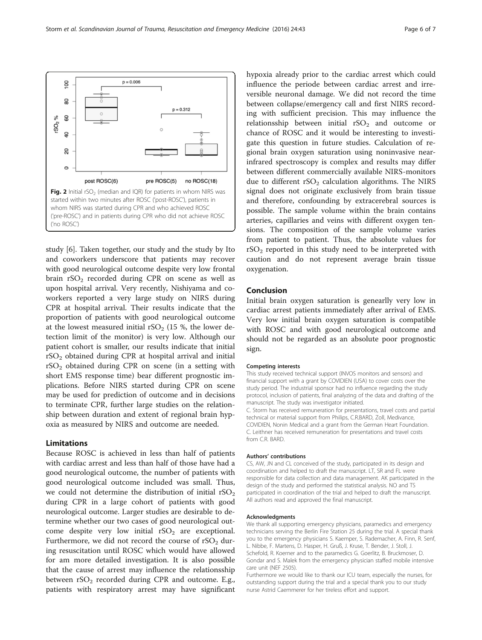<span id="page-5-0"></span>

study [[6\]](#page-6-0). Taken together, our study and the study by Ito and coworkers underscore that patients may recover with good neurological outcome despite very low frontal brain  $rSO_2$  recorded during CPR on scene as well as upon hospital arrival. Very recently, Nishiyama and coworkers reported a very large study on NIRS during CPR at hospital arrival. Their results indicate that the proportion of patients with good neurological outcome at the lowest measured initial  $rSO<sub>2</sub>$  (15 %, the lower detection limit of the monitor) is very low. Although our patient cohort is smaller, our results indicate that initial rSO2 obtained during CPR at hospital arrival and initial  $rSO<sub>2</sub>$  obtained during CPR on scene (in a setting with short EMS response time) bear different prognostic implications. Before NIRS started during CPR on scene may be used for prediction of outcome and in decisions to terminate CPR, further large studies on the relationship between duration and extent of regional brain hypoxia as measured by NIRS and outcome are needed.

#### Limitations

Because ROSC is achieved in less than half of patients with cardiac arrest and less than half of those have had a good neurological outcome, the number of patients with good neurological outcome included was small. Thus, we could not determine the distribution of initial  $rSO<sub>2</sub>$ during CPR in a large cohort of patients with good neurological outcome. Larger studies are desirable to determine whether our two cases of good neurological outcome despite very low initial  $rSO<sub>2</sub>$  are exceptional. Furthermore, we did not record the course of  $rSO<sub>2</sub>$  during resuscitation until ROSC which would have allowed for am more detailed investigation. It is also possible that the cause of arrest may influence the relationsship between  $rSO_2$  recorded during CPR and outcome. E.g., patients with respiratory arrest may have significant

hypoxia already prior to the cardiac arrest which could influence the periode between cardiac arrest and irreversible neuronal damage. We did not record the time between collapse/emergency call and first NIRS recording with sufficient precision. This may influence the relationsship between initial  $rSO<sub>2</sub>$  and outcome or chance of ROSC and it would be interesting to investigate this question in future studies. Calculation of regional brain oxygen saturation using noninvasive nearinfrared spectroscopy is complex and results may differ between different commercially available NIRS-monitors due to different  $rSO<sub>2</sub>$  calculation algorithms. The NIRS signal does not originate exclusively from brain tissue and therefore, confounding by extracerebral sources is possible. The sample volume within the brain contains arteries, capillaries and veins with different oxygen tensions. The composition of the sample volume varies from patient to patient. Thus, the absolute values for  $rSO<sub>2</sub>$  reported in this study need to be interpreted with caution and do not represent average brain tissue oxygenation.

#### Conclusion

Initial brain oxygen saturation is genearlly very low in cardiac arrest patients immediately after arrival of EMS. Very low initial brain oxygen saturation is compatible with ROSC and with good neurological outcome and should not be regarded as an absolute poor prognostic sign.

#### Competing interests

This study received technical support (INVOS monitors and sensors) and financial support with a grant by COVIDIEN (USA) to cover costs over the study period. The industrial sponsor had no influence regarding the study protocol, inclusion of patients, final analyzing of the data and drafting of the manuscript. The study was investigator initiated. C. Storm has received remuneration for presentations, travel costs and partial technical or material support from Philips, C.R.BARD, Zoll, Medivance, COVIDIEN, Nonin Medical and a grant from the German Heart Foundation. C. Leithner has received remuneration for presentations and travel costs from C.R. BARD.

#### Authors' contributions

CS, AW, JN and CL conceived of the study, participated in its design and coordination and helped to draft the manuscript. LT, SR and FL were responsible for data collection and data management. AK participated in the design of the study and performed the statistical analysis. NO and TS participated in coordination of the trial and helped to draft the manuscript. All authors read and approved the final manuscript.

#### Acknowledgments

We thank all supporting emergency physicians, paramedics and emergency technicians serving the Berlin Fire Station 25 during the trial. A special thank you to the emergency physicians S. Kaemper, S. Rademacher, A. Finn, R. Senf, L. Nibbe, F. Martens, D. Hasper, H. Gruß, J. Kruse, T. Bender, J. Stoll, J. Schefold, R. Koerner and to the paramedics G. Goerlitz, B. Bruckmoser, D. Gondar and S. Malek from the emergency physician staffed mobile intensive care unit (NEF 2505).

Furthermore we would like to thank our ICU team, especially the nurses, for outstanding support during the trial and a special thank you to our study nurse Astrid Caemmerer for her tireless effort and support.